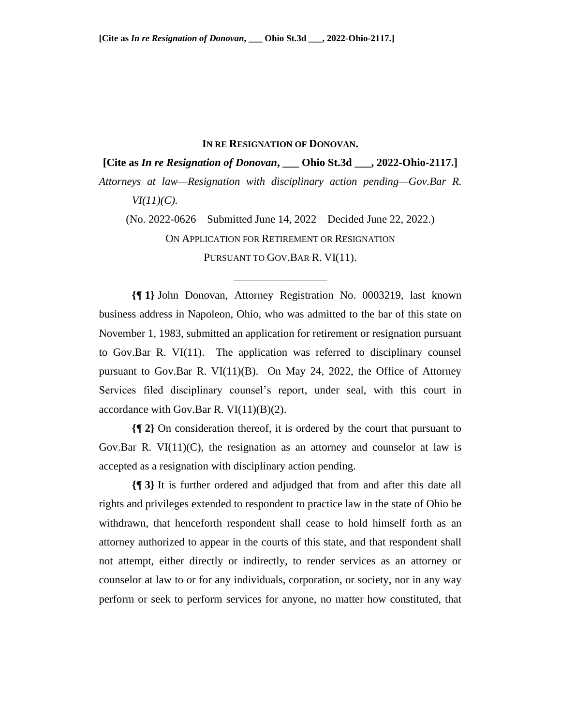## **IN RE RESIGNATION OF DONOVAN.**

**[Cite as** *In re Resignation of Donovan***, \_\_\_ Ohio St.3d \_\_\_, 2022-Ohio-2117.]**

*Attorneys at law—Resignation with disciplinary action pending—Gov.Bar R. VI(11)(C).*

(No. 2022-0626—Submitted June 14, 2022—Decided June 22, 2022.) ON APPLICATION FOR RETIREMENT OR RESIGNATION PURSUANT TO GOV. BAR R. VI(11).

\_\_\_\_\_\_\_\_\_\_\_\_\_\_\_\_\_

**{¶ 1}** John Donovan, Attorney Registration No. 0003219, last known business address in Napoleon, Ohio, who was admitted to the bar of this state on November 1, 1983, submitted an application for retirement or resignation pursuant to Gov.Bar R.  $VI(11)$ . The application was referred to disciplinary counsel pursuant to Gov.Bar R. VI(11)(B). On May 24, 2022, the Office of Attorney Services filed disciplinary counsel's report, under seal, with this court in accordance with Gov.Bar R.  $VI(11)(B)(2)$ .

**{¶ 2}** On consideration thereof, it is ordered by the court that pursuant to Gov.Bar R. VI $(11)(C)$ , the resignation as an attorney and counselor at law is accepted as a resignation with disciplinary action pending.

**{¶ 3}** It is further ordered and adjudged that from and after this date all rights and privileges extended to respondent to practice law in the state of Ohio be withdrawn, that henceforth respondent shall cease to hold himself forth as an attorney authorized to appear in the courts of this state, and that respondent shall not attempt, either directly or indirectly, to render services as an attorney or counselor at law to or for any individuals, corporation, or society, nor in any way perform or seek to perform services for anyone, no matter how constituted, that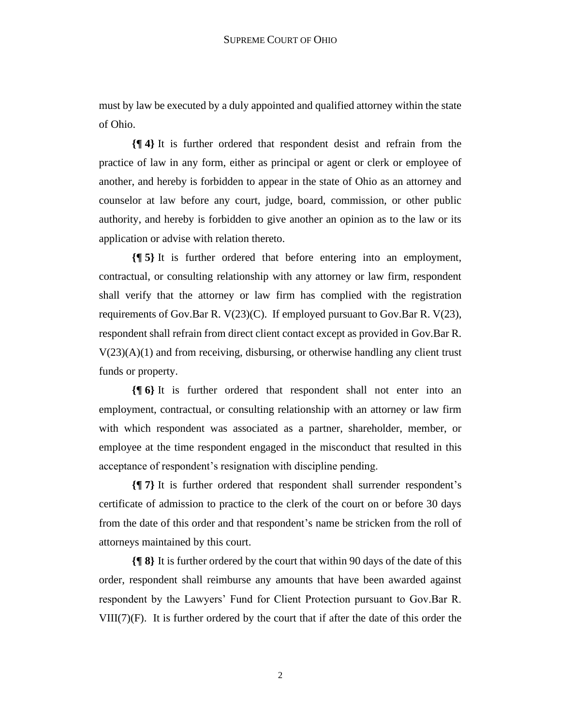must by law be executed by a duly appointed and qualified attorney within the state of Ohio.

**{¶ 4}** It is further ordered that respondent desist and refrain from the practice of law in any form, either as principal or agent or clerk or employee of another, and hereby is forbidden to appear in the state of Ohio as an attorney and counselor at law before any court, judge, board, commission, or other public authority, and hereby is forbidden to give another an opinion as to the law or its application or advise with relation thereto.

**{¶ 5}** It is further ordered that before entering into an employment, contractual, or consulting relationship with any attorney or law firm, respondent shall verify that the attorney or law firm has complied with the registration requirements of Gov.Bar R. V(23)(C). If employed pursuant to Gov.Bar R. V(23), respondent shall refrain from direct client contact except as provided in Gov.Bar R.  $V(23)(A)(1)$  and from receiving, disbursing, or otherwise handling any client trust funds or property.

**{¶ 6}** It is further ordered that respondent shall not enter into an employment, contractual, or consulting relationship with an attorney or law firm with which respondent was associated as a partner, shareholder, member, or employee at the time respondent engaged in the misconduct that resulted in this acceptance of respondent's resignation with discipline pending.

**{¶ 7}** It is further ordered that respondent shall surrender respondent's certificate of admission to practice to the clerk of the court on or before 30 days from the date of this order and that respondent's name be stricken from the roll of attorneys maintained by this court.

**{¶ 8}** It is further ordered by the court that within 90 days of the date of this order, respondent shall reimburse any amounts that have been awarded against respondent by the Lawyers' Fund for Client Protection pursuant to Gov.Bar R. VIII(7)(F). It is further ordered by the court that if after the date of this order the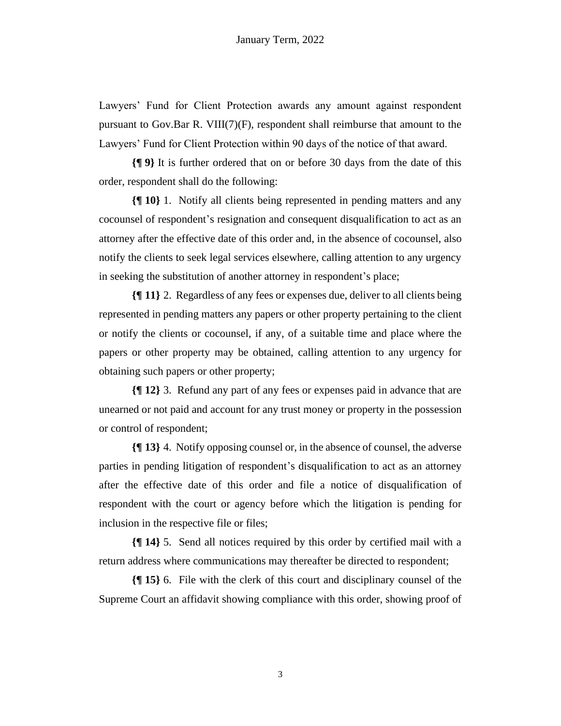Lawyers' Fund for Client Protection awards any amount against respondent pursuant to Gov.Bar R. VIII(7)(F), respondent shall reimburse that amount to the Lawyers' Fund for Client Protection within 90 days of the notice of that award.

**{¶ 9}** It is further ordered that on or before 30 days from the date of this order, respondent shall do the following:

**{¶ 10}** 1. Notify all clients being represented in pending matters and any cocounsel of respondent's resignation and consequent disqualification to act as an attorney after the effective date of this order and, in the absence of cocounsel, also notify the clients to seek legal services elsewhere, calling attention to any urgency in seeking the substitution of another attorney in respondent's place;

**{¶ 11}** 2. Regardless of any fees or expenses due, deliver to all clients being represented in pending matters any papers or other property pertaining to the client or notify the clients or cocounsel, if any, of a suitable time and place where the papers or other property may be obtained, calling attention to any urgency for obtaining such papers or other property;

**{¶ 12}** 3. Refund any part of any fees or expenses paid in advance that are unearned or not paid and account for any trust money or property in the possession or control of respondent;

**{¶ 13}** 4. Notify opposing counsel or, in the absence of counsel, the adverse parties in pending litigation of respondent's disqualification to act as an attorney after the effective date of this order and file a notice of disqualification of respondent with the court or agency before which the litigation is pending for inclusion in the respective file or files;

**{¶ 14}** 5. Send all notices required by this order by certified mail with a return address where communications may thereafter be directed to respondent;

**{¶ 15}** 6. File with the clerk of this court and disciplinary counsel of the Supreme Court an affidavit showing compliance with this order, showing proof of

3